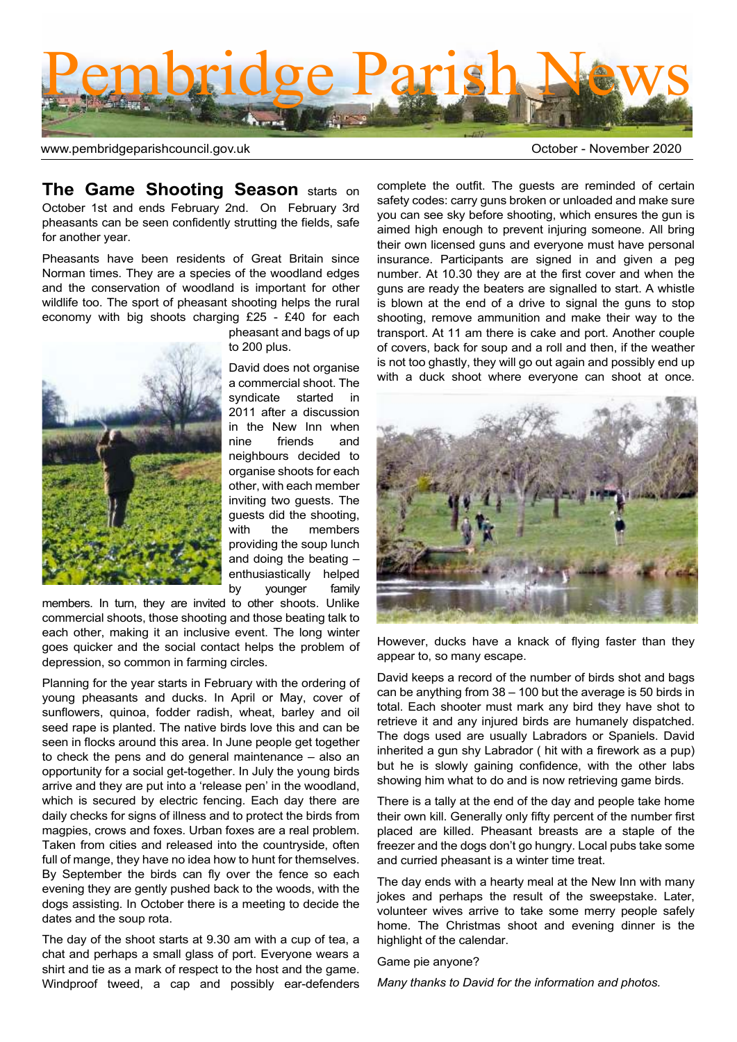

www.pembridgeparishcouncil.gov.uk and the control of the control of the Control of Corollation of the CO20

**The Game Shooting Season** starts on October 1st and ends February 2nd. On February 3rd pheasants can be seen confidently strutting the fields, safe for another year.

Pheasants have been residents of Great Britain since Norman times. They are a species of the woodland edges and the conservation of woodland is important for other wildlife too. The sport of pheasant shooting helps the rural economy with big shoots charging £25 - £40 for each



pheasant and bags of up to 200 plus.

David does not organise a commercial shoot. The syndicate started in 2011 after a discussion in the New Inn when nine friends and neighbours decided to organise shoots for each other, with each member inviting two guests. The guests did the shooting, with the members providing the soup lunch and doing the beating – enthusiastically helped by younger family

members. In turn, they are invited to other shoots. Unlike commercial shoots, those shooting and those beating talk to each other, making it an inclusive event. The long winter goes quicker and the social contact helps the problem of depression, so common in farming circles.

Planning for the year starts in February with the ordering of young pheasants and ducks. In April or May, cover of sunflowers, quinoa, fodder radish, wheat, barley and oil seed rape is planted. The native birds love this and can be seen in flocks around this area. In June people get together to check the pens and do general maintenance – also an opportunity for a social get-together. In July the young birds arrive and they are put into a 'release pen' in the woodland, which is secured by electric fencing. Each day there are daily checks for signs of illness and to protect the birds from magpies, crows and foxes. Urban foxes are a real problem. Taken from cities and released into the countryside, often full of mange, they have no idea how to hunt for themselves. By September the birds can fly over the fence so each evening they are gently pushed back to the woods, with the dogs assisting. In October there is a meeting to decide the dates and the soup rota.

The day of the shoot starts at 9.30 am with a cup of tea, a chat and perhaps a small glass of port. Everyone wears a shirt and tie as a mark of respect to the host and the game. Windproof tweed, a cap and possibly ear-defenders

complete the outfit. The guests are reminded of certain safety codes: carry guns broken or unloaded and make sure you can see sky before shooting, which ensures the gun is aimed high enough to prevent injuring someone. All bring their own licensed guns and everyone must have personal insurance. Participants are signed in and given a peg number. At 10.30 they are at the first cover and when the guns are ready the beaters are signalled to start. A whistle is blown at the end of a drive to signal the guns to stop shooting, remove ammunition and make their way to the transport. At 11 am there is cake and port. Another couple of covers, back for soup and a roll and then, if the weather is not too ghastly, they will go out again and possibly end up with a duck shoot where everyone can shoot at once.



However, ducks have a knack of flying faster than they appear to, so many escape.

David keeps a record of the number of birds shot and bags can be anything from 38 – 100 but the average is 50 birds in total. Each shooter must mark any bird they have shot to retrieve it and any injured birds are humanely dispatched. The dogs used are usually Labradors or Spaniels. David inherited a gun shy Labrador ( hit with a firework as a pup) but he is slowly gaining confidence, with the other labs showing him what to do and is now retrieving game birds.

There is a tally at the end of the day and people take home their own kill. Generally only fifty percent of the number first placed are killed. Pheasant breasts are a staple of the freezer and the dogs don't go hungry. Local pubs take some and curried pheasant is a winter time treat.

The day ends with a hearty meal at the New Inn with many jokes and perhaps the result of the sweepstake. Later, volunteer wives arrive to take some merry people safely home. The Christmas shoot and evening dinner is the highlight of the calendar.

Game pie anyone?

*Many thanks to David for the information and photos.*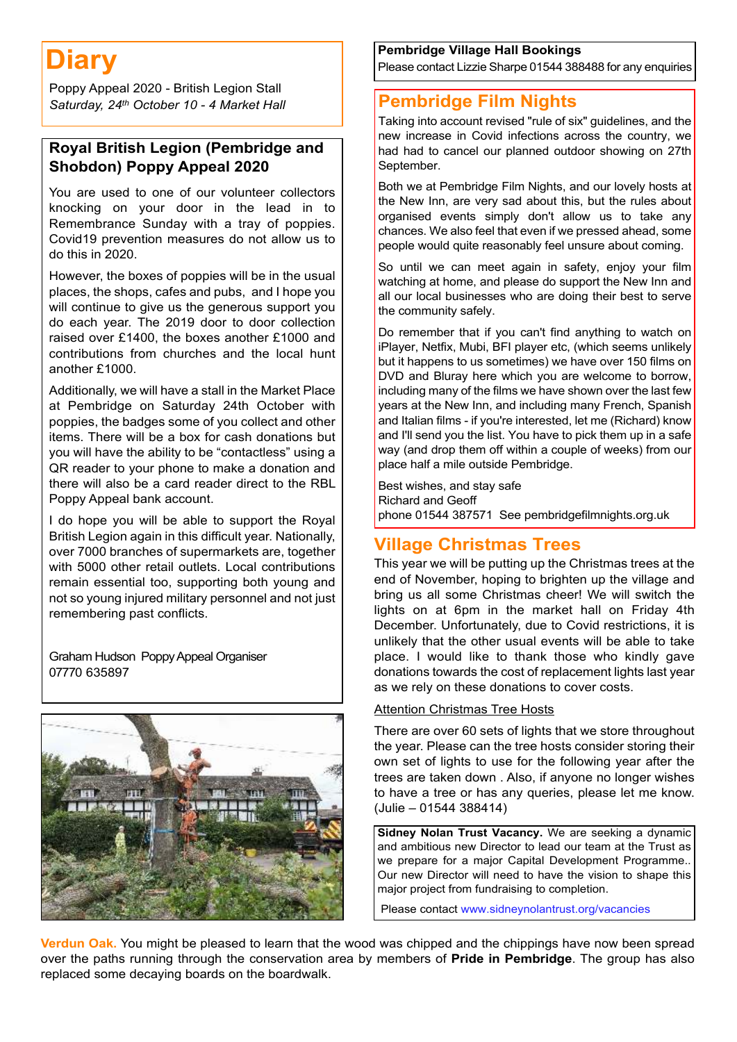# **Diary**

Poppy Appeal 2020 - British Legion Stall  *Saturday, 24th October 10 - 4 Market Hall*

#### **Royal British Legion (Pembridge and Shobdon) Poppy Appeal 2020**

You are used to one of our volunteer collectors knocking on your door in the lead in to Remembrance Sunday with a tray of poppies. Covid19 prevention measures do not allow us to do this in 2020.

However, the boxes of poppies will be in the usual places, the shops, cafes and pubs, and I hope you will continue to give us the generous support you do each year. The 2019 door to door collection raised over £1400, the boxes another £1000 and contributions from churches and the local hunt another £1000.

Additionally, we will have a stall in the Market Place at Pembridge on Saturday 24th October with poppies, the badges some of you collect and other items. There will be a box for cash donations but you will have the ability to be "contactless" using a QR reader to your phone to make a donation and there will also be a card reader direct to the RBL Poppy Appeal bank account.

I do hope you will be able to support the Royal British Legion again in this difficult year. Nationally, over 7000 branches of supermarkets are, together with 5000 other retail outlets. Local contributions remain essential too, supporting both young and not so young injured military personnel and not just remembering past conflicts.

Graham Hudson Poppy Appeal Organiser 07770 635897



#### **Pembridge Village Hall Bookings** Please contact Lizzie Sharpe 01544 388488 for any enquiries

**Pembridge Film Nights**

Taking into account revised "rule of six" guidelines, and the new increase in Covid infections across the country, we had had to cancel our planned outdoor showing on 27th September.

Both we at Pembridge Film Nights, and our lovely hosts at the New Inn, are very sad about this, but the rules about organised events simply don't allow us to take any chances. We also feel that even if we pressed ahead, some people would quite reasonably feel unsure about coming.

So until we can meet again in safety, enjoy your film watching at home, and please do support the New Inn and all our local businesses who are doing their best to serve the community safely.

Do remember that if you can't find anything to watch on iPlayer, Netfix, Mubi, BFI player etc, (which seems unlikely but it happens to us sometimes) we have over 150 films on DVD and Bluray here which you are welcome to borrow, including many of the films we have shown over the last few years at the New Inn, and including many French, Spanish and Italian films - if you're interested, let me (Richard) know and I'll send you the list. You have to pick them up in a safe way (and drop them off within a couple of weeks) from our place half a mile outside Pembridge.

Best wishes, and stay safe Richard and Geoff phone 01544 387571 See pembridgefilmnights.org.uk

### **Village Christmas Trees**

This year we will be putting up the Christmas trees at the end of November, hoping to brighten up the village and bring us all some Christmas cheer! We will switch the lights on at 6pm in the market hall on Friday 4th December. Unfortunately, due to Covid restrictions, it is unlikely that the other usual events will be able to take place. I would like to thank those who kindly gave donations towards the cost of replacement lights last year as we rely on these donations to cover costs.

#### Attention Christmas Tree Hosts

There are over 60 sets of lights that we store throughout the year. Please can the tree hosts consider storing their own set of lights to use for the following year after the trees are taken down . Also, if anyone no longer wishes to have a tree or has any queries, please let me know. (Julie – 01544 388414)

**Sidney Nolan Trust Vacancy.** We are seeking a dynamic and ambitious new Director to lead our team at the Trust as we prepare for a major Capital Development Programme.. Our new Director will need to have the vision to shape this major project from fundraising to completion.

Please contact www.sidneynolantrust.org/vacancies

**Verdun Oak.** You might be pleased to learn that the wood was chipped and the chippings have now been spread over the paths running through the conservation area by members of **Pride in Pembridge**. The group has also replaced some decaying boards on the boardwalk.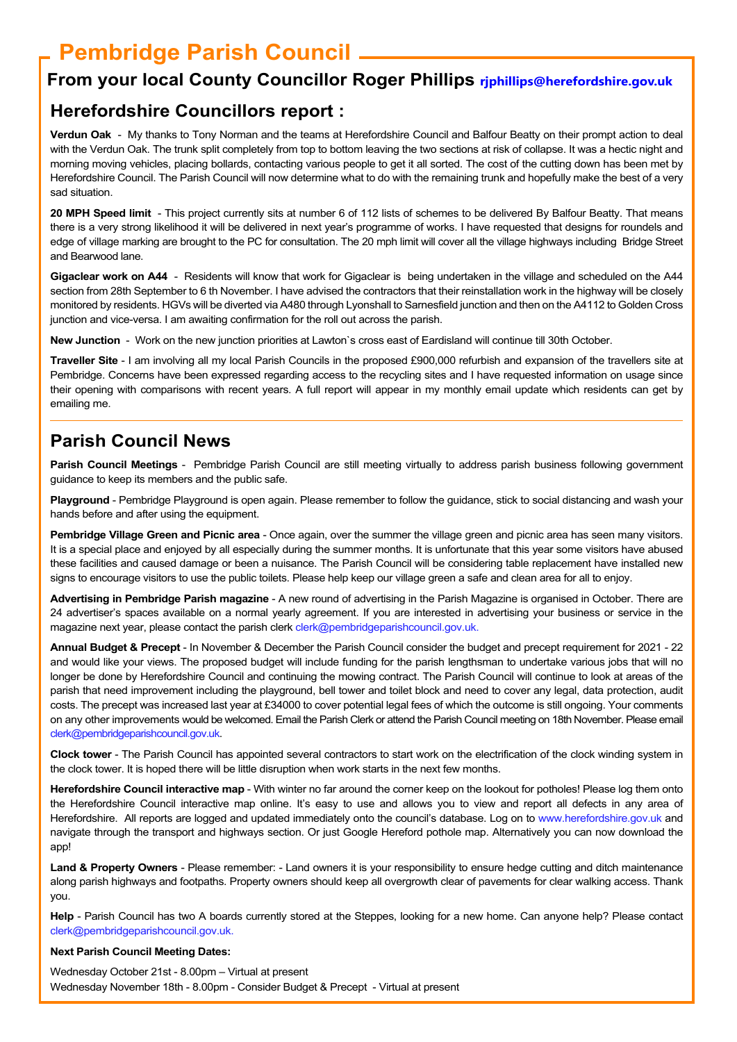## **Pembridge Parish Council**

### **From your local County Councillor Roger Phillips rjphillips@herefordshire.gov.uk**

### **Herefordshire Councillors report :**

**Verdun Oak** - My thanks to Tony Norman and the teams at Herefordshire Council and Balfour Beatty on their prompt action to deal with the Verdun Oak. The trunk split completely from top to bottom leaving the two sections at risk of collapse. It was a hectic night and morning moving vehicles, placing bollards, contacting various people to get it all sorted. The cost of the cutting down has been met by Herefordshire Council. The Parish Council will now determine what to do with the remaining trunk and hopefully make the best of a very sad situation.

**20 MPH Speed limit** - This project currently sits at number 6 of 112 lists of schemes to be delivered By Balfour Beatty. That means there is a very strong likelihood it will be delivered in next year's programme of works. I have requested that designs for roundels and edge of village marking are brought to the PC for consultation. The 20 mph limit will cover all the village highways including Bridge Street and Bearwood lane.

**Gigaclear work on A44** - Residents will know that work for Gigaclear is being undertaken in the village and scheduled on the A44 section from 28th September to 6 th November. I have advised the contractors that their reinstallation work in the highway will be closely monitored by residents. HGVs will be diverted via A480 through Lyonshall to Sarnesfield junction and then on the A4112 to Golden Cross junction and vice-versa. I am awaiting confirmation for the roll out across the parish.

**New Junction** - Work on the new junction priorities at Lawton`s cross east of Eardisland will continue till 30th October.

**Traveller Site** - I am involving all my local Parish Councils in the proposed £900,000 refurbish and expansion of the travellers site at Pembridge. Concerns have been expressed regarding access to the recycling sites and I have requested information on usage since their opening with comparisons with recent years. A full report will appear in my monthly email update which residents can get by emailing me.

### **Parish Council News**

**Parish Council Meetings** - Pembridge Parish Council are still meeting virtually to address parish business following government guidance to keep its members and the public safe.

**Playground** - Pembridge Playground is open again. Please remember to follow the guidance, stick to social distancing and wash your hands before and after using the equipment.

**Pembridge Village Green and Picnic area** - Once again, over the summer the village green and picnic area has seen many visitors. It is a special place and enjoyed by all especially during the summer months. It is unfortunate that this year some visitors have abused these facilities and caused damage or been a nuisance. The Parish Council will be considering table replacement have installed new signs to encourage visitors to use the public toilets. Please help keep our village green a safe and clean area for all to enjoy.

**Advertising in Pembridge Parish magazine** - A new round of advertising in the Parish Magazine is organised in October. There are 24 advertiser's spaces available on a normal yearly agreement. If you are interested in advertising your business or service in the magazine next year, please contact the parish clerk clerk@pembridgeparishcouncil.gov.uk.

**Annual Budget & Precept** - In November & December the Parish Council consider the budget and precept requirement for 2021 - 22 and would like your views. The proposed budget will include funding for the parish lengthsman to undertake various jobs that will no longer be done by Herefordshire Council and continuing the mowing contract. The Parish Council will continue to look at areas of the parish that need improvement including the playground, bell tower and toilet block and need to cover any legal, data protection, audit costs. The precept was increased last year at £34000 to cover potential legal fees of which the outcome is still ongoing. Your comments on any other improvements would be welcomed. Email the Parish Clerk or attend the Parish Council meeting on 18th November. Please email clerk@pembridgeparishcouncil.gov.uk.

**Clock tower** - The Parish Council has appointed several contractors to start work on the electrification of the clock winding system in the clock tower. It is hoped there will be little disruption when work starts in the next few months.

**Herefordshire Council interactive map** - With winter no far around the corner keep on the lookout for potholes! Please log them onto the Herefordshire Council interactive map online. It's easy to use and allows you to view and report all defects in any area of Herefordshire. All reports are logged and updated immediately onto the council's database. Log on to www.herefordshire.gov.uk and navigate through the transport and highways section. Or just Google Hereford pothole map. Alternatively you can now download the app!

Land & Property Owners - Please remember: - Land owners it is your responsibility to ensure hedge cutting and ditch maintenance along parish highways and footpaths. Property owners should keep all overgrowth clear of pavements for clear walking access. Thank you.

**Help** - Parish Council has two A boards currently stored at the Steppes, looking for a new home. Can anyone help? Please contact clerk@pembridgeparishcouncil.gov.uk.

#### **Next Parish Council Meeting Dates:**

Wednesday October 21st - 8.00pm – Virtual at present Wednesday November 18th - 8.00pm - Consider Budget & Precept - Virtual at present